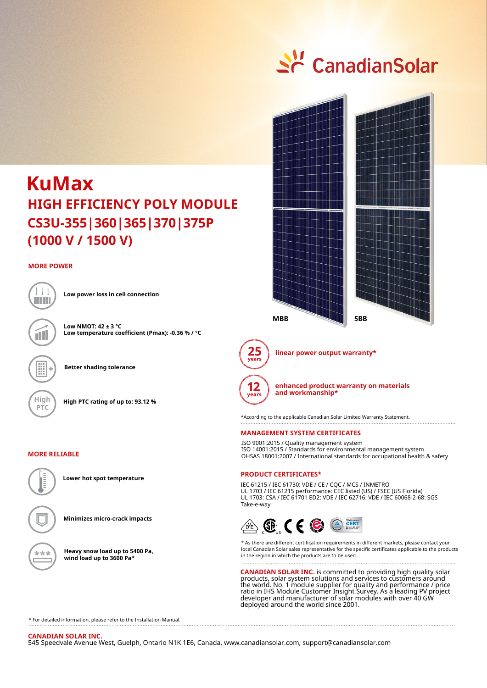# Sc CanadianSolar

## **CS3U-355|360|365|370|375P (1000 V / 1500 V) KuMax HIGH EFFICIENCY POLY MODULE**

#### **MORE POWER**



**Low power loss in cell connection**

**Low NMOT: 42 ± 3 °C Low temperature coefficient (Pmax): -0.36 % / °C**

**Better shading tolerance**

**High High PTC rating of up to: 93.12 %**

#### **MORE RELIABLE**



**Lower hot spot temperature**

**Minimizes micro-crack impacts**

**Heavy snow load up to 5400 Pa, wind load up to 3600 Pa\***





**linear power output warranty\***



**enhanced product warranty on materials and workmanship\***

\*According to the applicable Canadian Solar Limited Warranty Statement. 

#### **MANAGEMENT SYSTEM CERTIFICATES**

ISO 9001:2015 / Quality management system ISO 14001:2015 / Standards for environmental management system OHSAS 18001:2007 / International standards for occupational health & safety

#### **PRODUCT CERTIFICATES\***

IEC 61215 / IEC 61730: VDE / CE / CQC / MCS / INMETRO UL 1703 / IEC 61215 performance: CEC listed (US) / FSEC (US Florida) UL 1703: CSA / IEC 61701 ED2: VDE / IEC 62716: VDE / IEC 60068-2-68: SGS Take-e-way



\* As there are different certification requirements in different markets, please contact your local Canadian Solar sales representative for the specific certificates applicable to the products in the region in which the products are to be used.

**CANADIAN SOLAR INC.** is committed to providing high quality solar products, solar system solutions and services to customers around the world. No. 1 module supplier for quality and performance / price ratio in IHS Module Customer Insight Survey. As a leading PV project developer and manufacturer of solar modules with over 40 GW deployed around the world since 2001.

\* For detailed information, please refer to the Installation Manual.

**CANADIAN SOLAR INC.**  545 Speedvale Avenue West, Guelph, Ontario N1K 1E6, Canada, www.canadiansolar.com, support@canadiansolar.com